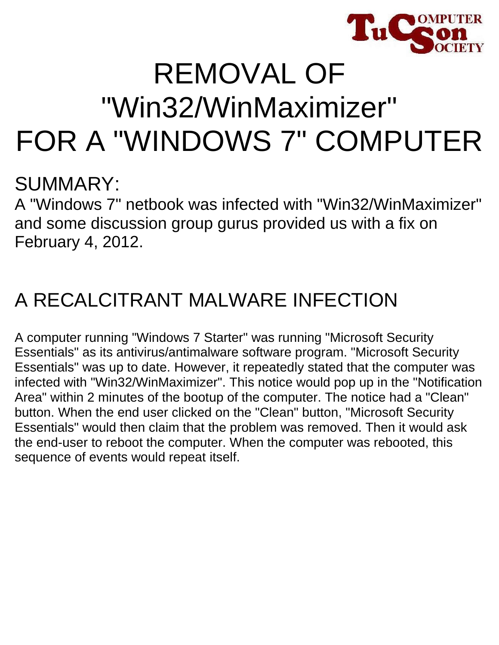

# REMOVAL OF "Win32/WinMaximizer" FOR A "WINDOWS 7" COMPUTER

### SUMMARY:

A "Windows 7" netbook was infected with "Win32/WinMaximizer" and some discussion group gurus provided us with a fix on February 4, 2012.

## A RECALCITRANT MALWARE INFECTION

A computer running "Windows 7 Starter" was running "Microsoft Security Essentials" as its antivirus/antimalware software program. "Microsoft Security Essentials" was up to date. However, it repeatedly stated that the computer was infected with "Win32/WinMaximizer". This notice would pop up in the "Notification Area" within 2 minutes of the bootup of the computer. The notice had a "Clean" button. When the end user clicked on the "Clean" button, "Microsoft Security Essentials" would then claim that the problem was removed. Then it would ask the end-user to reboot the computer. When the computer was rebooted, this sequence of events would repeat itself.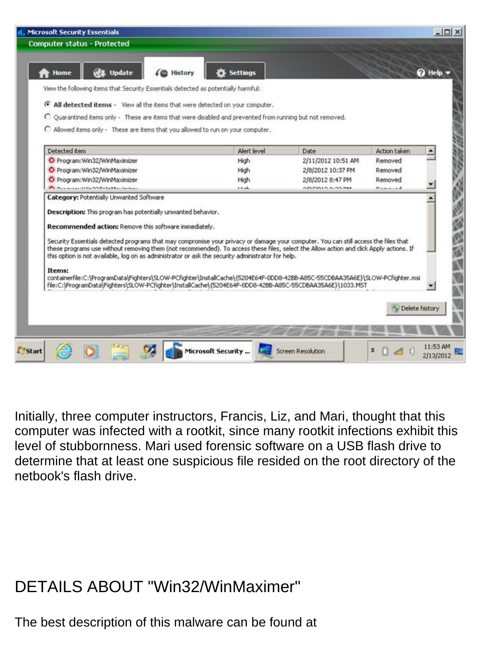| <b>Computer status - Protected</b>                                                                                                                                                                                                                                                                                                                                                 |                   |                    |                     |               |
|------------------------------------------------------------------------------------------------------------------------------------------------------------------------------------------------------------------------------------------------------------------------------------------------------------------------------------------------------------------------------------|-------------------|--------------------|---------------------|---------------|
| <b>Update</b><br>Home<br>(恐 History                                                                                                                                                                                                                                                                                                                                                | <b>C</b> Settings |                    |                     | <b>Q</b> Help |
| View the following items that Security Essentials detected as potentially harmful:                                                                                                                                                                                                                                                                                                 |                   |                    |                     |               |
| F All detected items - View all the items that were detected on your computer.                                                                                                                                                                                                                                                                                                     |                   |                    |                     |               |
| C Quarantined items only - These are items that were disabled and prevented from running but not removed.                                                                                                                                                                                                                                                                          |                   |                    |                     |               |
| C Allowed items only - These are items that you allowed to run on your computer.                                                                                                                                                                                                                                                                                                   |                   |                    |                     |               |
|                                                                                                                                                                                                                                                                                                                                                                                    |                   |                    |                     |               |
| Detected item                                                                                                                                                                                                                                                                                                                                                                      | Alert level       | Date               | <b>Action taken</b> |               |
| C Program: Win32/WinMaximizer                                                                                                                                                                                                                                                                                                                                                      | High              | 2/11/2012 10:51 AM | Removed             |               |
| C Program: Win32/WinMaximizer                                                                                                                                                                                                                                                                                                                                                      | High              | 2/8/2012 10:37 PM  | Removed             |               |
| C Program: Win32/WinMaximizer                                                                                                                                                                                                                                                                                                                                                      | High              | 2/8/2012 8:47 PM   | Removed             |               |
| <b>Children announced the COM REAL Adventures</b>                                                                                                                                                                                                                                                                                                                                  | <b>Little</b>     | alainnta a an pu   | Bassanad            |               |
| Category: Potentially Unwanted Software                                                                                                                                                                                                                                                                                                                                            |                   |                    |                     |               |
| Description: This program has potentially unwanted behavior.                                                                                                                                                                                                                                                                                                                       |                   |                    |                     |               |
|                                                                                                                                                                                                                                                                                                                                                                                    |                   |                    |                     |               |
| Recommended action: Remove this software immediately.                                                                                                                                                                                                                                                                                                                              |                   |                    |                     |               |
| Security Essentials detected programs that may compromise your privacy or damage your computer. You can still access the files that<br>these programs use without removing them (not recommended). To access these files, select the Allow action and click Apply actions. If<br>this option is not available, log on as administrator or ask the security administrator for help. |                   |                    |                     |               |
| Items:<br>containerfile:C:\ProgramData\Fighters\SLOW-PCfighter\InstallCache\{5204E64F-0DD8-42BB-A85C-55CDBAA35A6E}\SLOW-PCfighter.msi<br>file:C:\ProgramData\Fighters\SLOW-PCfighter\InstallCache\{5204E64F-0DD8-42BB-A85C-55CDBAA35A6E}\1033.MST                                                                                                                                  |                   |                    |                     |               |
|                                                                                                                                                                                                                                                                                                                                                                                    |                   |                    | Py Delete history   |               |
|                                                                                                                                                                                                                                                                                                                                                                                    |                   |                    |                     |               |
|                                                                                                                                                                                                                                                                                                                                                                                    |                   |                    |                     |               |

Initially, three computer instructors, Francis, Liz, and Mari, thought that this computer was infected with a rootkit, since many rootkit infections exhibit this level of stubbornness. Mari used forensic software on a USB flash drive to determine that at least one suspicious file resided on the root directory of the netbook's flash drive.

#### DETAILS ABOUT "Win32/WinMaximer"

The best description of this malware can be found at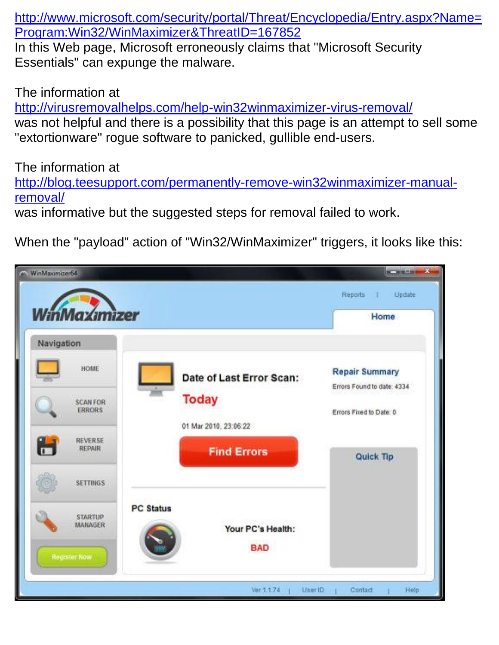[http://www.microsoft.com/security/portal/Threat/Encyclopedia/Entry.aspx?Name=](http://www.microsoft.com/security/portal/Threat/Encyclopedia/Entry.aspx?Name=Program:Win32/WinMaximizer&ThreatID=167852) [Program:Win32/WinMaximizer&ThreatID=167852](http://www.microsoft.com/security/portal/Threat/Encyclopedia/Entry.aspx?Name=Program:Win32/WinMaximizer&ThreatID=167852)

In this Web page, Microsoft erroneously claims that "Microsoft Security Essentials" can expunge the malware.

The information at

<http://virusremovalhelps.com/help-win32winmaximizer-virus-removal/> was not helpful and there is a possibility that this page is an attempt to sell some "extortionware" rogue software to panicked, gullible end-users.

The information at

[http://blog.teesupport.com/permanently-remove-win32winmaximizer-manual](http://blog.teesupport.com/permanently-remove-win32winmaximizer-manual-removal/)[removal/](http://blog.teesupport.com/permanently-remove-win32winmaximizer-manual-removal/)

was informative but the suggested steps for removal failed to work.

When the "payload" action of "Win32/WinMaximizer" triggers, it looks like this:

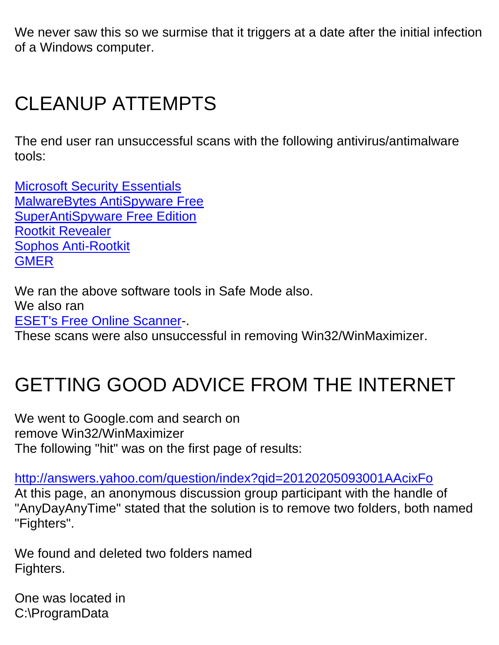We never saw this so we surmise that it triggers at a date after the initial infection of a Windows computer.

## CLEANUP ATTEMPTS

The end user ran unsuccessful scans with the following antivirus/antimalware tools:

[Microsoft Security Essentials](http://windows.microsoft.com/en-US/windows/products/security-essentials) [MalwareBytes AntiSpyware Free](http://www.malwarebytes.org/products/malwarebytes_free) [SuperAntiSpyware Free Edition](http://www.superantispyware.com/) [Rootkit Revealer](http://technet.microsoft.com/en-us/sysinternals/bb897445) [Sophos Anti-Rootkit](http://www.sophos.com/en-us/products/free-tools/sophos-anti-rootkit.aspx) **[GMER](http://www.gmer.net/)** 

We ran the above software tools in Safe Mode also. We also ran [ESET's Free Online Scanner-](http://www.eset.com/us/online-scanner/).

These scans were also unsuccessful in removing Win32/WinMaximizer.

## GETTING GOOD ADVICE FROM THE INTERNET

We went to Google.com and search on remove Win32/WinMaximizer The following "hit" was on the first page of results:

<http://answers.yahoo.com/question/index?qid=20120205093001AAcixFo> At this page, an anonymous discussion group participant with the handle of "AnyDayAnyTime" stated that the solution is to remove two folders, both named "Fighters".

We found and deleted two folders named Fighters.

One was located in C:\ProgramData